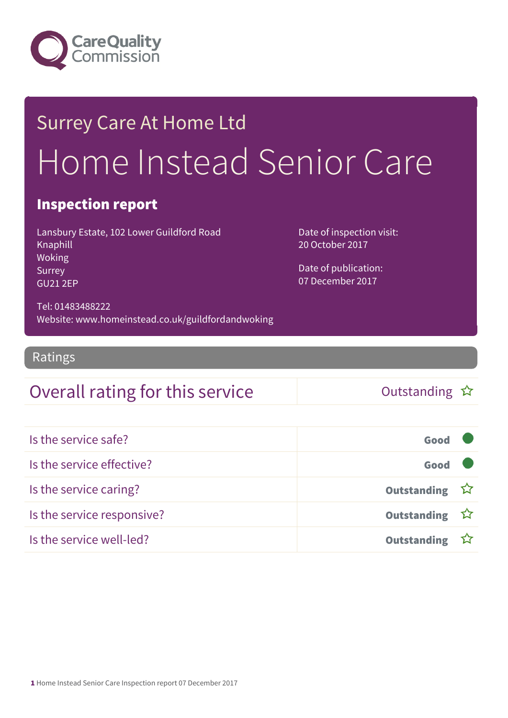

# Surrey Care At Home Ltd Home Instead Senior Care

### Inspection report

Lansbury Estate, 102 Lower Guildford Road Knaphill Woking Surrey GU21 2EP

Date of inspection visit: 20 October 2017

Date of publication: 07 December 2017

Tel: 01483488222 Website: www.homeinstead.co.uk/guildfordandwoking

Ratings

### Overall rating for this service and the Cutstanding  $\hat{x}$

| Is the service safe?       | Good               |  |
|----------------------------|--------------------|--|
| Is the service effective?  | Good               |  |
| Is the service caring?     | Outstanding ☆      |  |
| Is the service responsive? | Outstanding ☆      |  |
| Is the service well-led?   | <b>Outstanding</b> |  |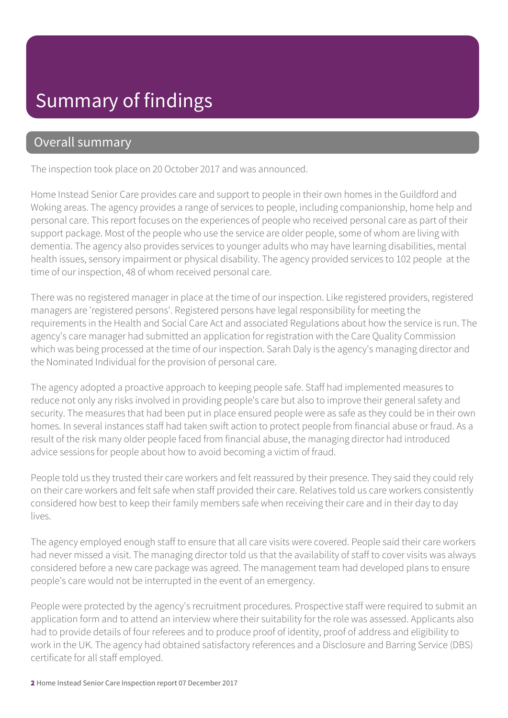## Summary of findings

#### Overall summary

The inspection took place on 20 October 2017 and was announced.

Home Instead Senior Care provides care and support to people in their own homes in the Guildford and Woking areas. The agency provides a range of services to people, including companionship, home help and personal care. This report focuses on the experiences of people who received personal care as part of their support package. Most of the people who use the service are older people, some of whom are living with dementia. The agency also provides services to younger adults who may have learning disabilities, mental health issues, sensory impairment or physical disability. The agency provided services to 102 people at the time of our inspection, 48 of whom received personal care.

There was no registered manager in place at the time of our inspection. Like registered providers, registered managers are 'registered persons'. Registered persons have legal responsibility for meeting the requirements in the Health and Social Care Act and associated Regulations about how the service is run. The agency's care manager had submitted an application for registration with the Care Quality Commission which was being processed at the time of our inspection. Sarah Daly is the agency's managing director and the Nominated Individual for the provision of personal care.

The agency adopted a proactive approach to keeping people safe. Staff had implemented measures to reduce not only any risks involved in providing people's care but also to improve their general safety and security. The measures that had been put in place ensured people were as safe as they could be in their own homes. In several instances staff had taken swift action to protect people from financial abuse or fraud. As a result of the risk many older people faced from financial abuse, the managing director had introduced advice sessions for people about how to avoid becoming a victim of fraud.

People told us they trusted their care workers and felt reassured by their presence. They said they could rely on their care workers and felt safe when staff provided their care. Relatives told us care workers consistently considered how best to keep their family members safe when receiving their care and in their day to day lives.

The agency employed enough staff to ensure that all care visits were covered. People said their care workers had never missed a visit. The managing director told us that the availability of staff to cover visits was always considered before a new care package was agreed. The management team had developed plans to ensure people's care would not be interrupted in the event of an emergency.

People were protected by the agency's recruitment procedures. Prospective staff were required to submit an application form and to attend an interview where their suitability for the role was assessed. Applicants also had to provide details of four referees and to produce proof of identity, proof of address and eligibility to work in the UK. The agency had obtained satisfactory references and a Disclosure and Barring Service (DBS) certificate for all staff employed.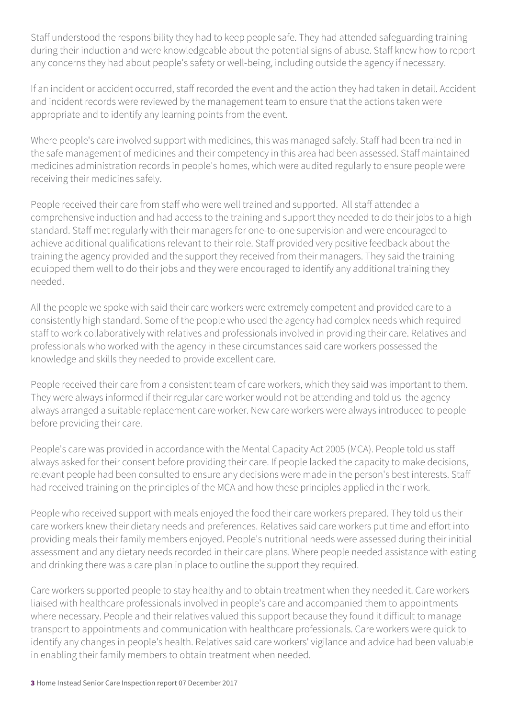Staff understood the responsibility they had to keep people safe. They had attended safeguarding training during their induction and were knowledgeable about the potential signs of abuse. Staff knew how to report any concerns they had about people's safety or well-being, including outside the agency if necessary.

If an incident or accident occurred, staff recorded the event and the action they had taken in detail. Accident and incident records were reviewed by the management team to ensure that the actions taken were appropriate and to identify any learning points from the event.

Where people's care involved support with medicines, this was managed safely. Staff had been trained in the safe management of medicines and their competency in this area had been assessed. Staff maintained medicines administration records in people's homes, which were audited regularly to ensure people were receiving their medicines safely.

People received their care from staff who were well trained and supported. All staff attended a comprehensive induction and had access to the training and support they needed to do their jobs to a high standard. Staff met regularly with their managers for one-to-one supervision and were encouraged to achieve additional qualifications relevant to their role. Staff provided very positive feedback about the training the agency provided and the support they received from their managers. They said the training equipped them well to do their jobs and they were encouraged to identify any additional training they needed.

All the people we spoke with said their care workers were extremely competent and provided care to a consistently high standard. Some of the people who used the agency had complex needs which required staff to work collaboratively with relatives and professionals involved in providing their care. Relatives and professionals who worked with the agency in these circumstances said care workers possessed the knowledge and skills they needed to provide excellent care.

People received their care from a consistent team of care workers, which they said was important to them. They were always informed if their regular care worker would not be attending and told us the agency always arranged a suitable replacement care worker. New care workers were always introduced to people before providing their care.

People's care was provided in accordance with the Mental Capacity Act 2005 (MCA). People told us staff always asked for their consent before providing their care. If people lacked the capacity to make decisions, relevant people had been consulted to ensure any decisions were made in the person's best interests. Staff had received training on the principles of the MCA and how these principles applied in their work.

People who received support with meals enjoyed the food their care workers prepared. They told us their care workers knew their dietary needs and preferences. Relatives said care workers put time and effort into providing meals their family members enjoyed. People's nutritional needs were assessed during their initial assessment and any dietary needs recorded in their care plans. Where people needed assistance with eating and drinking there was a care plan in place to outline the support they required.

Care workers supported people to stay healthy and to obtain treatment when they needed it. Care workers liaised with healthcare professionals involved in people's care and accompanied them to appointments where necessary. People and their relatives valued this support because they found it difficult to manage transport to appointments and communication with healthcare professionals. Care workers were quick to identify any changes in people's health. Relatives said care workers' vigilance and advice had been valuable in enabling their family members to obtain treatment when needed.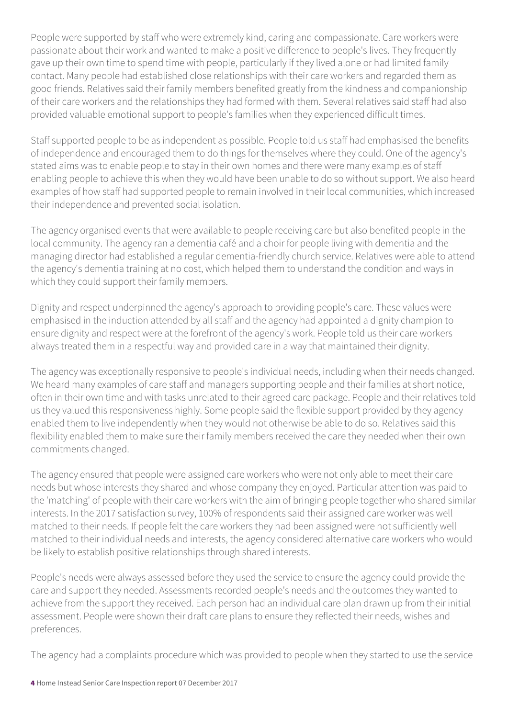People were supported by staff who were extremely kind, caring and compassionate. Care workers were passionate about their work and wanted to make a positive difference to people's lives. They frequently gave up their own time to spend time with people, particularly if they lived alone or had limited family contact. Many people had established close relationships with their care workers and regarded them as good friends. Relatives said their family members benefited greatly from the kindness and companionship of their care workers and the relationships they had formed with them. Several relatives said staff had also provided valuable emotional support to people's families when they experienced difficult times.

Staff supported people to be as independent as possible. People told us staff had emphasised the benefits of independence and encouraged them to do things for themselves where they could. One of the agency's stated aims was to enable people to stay in their own homes and there were many examples of staff enabling people to achieve this when they would have been unable to do so without support. We also heard examples of how staff had supported people to remain involved in their local communities, which increased their independence and prevented social isolation.

The agency organised events that were available to people receiving care but also benefited people in the local community. The agency ran a dementia café and a choir for people living with dementia and the managing director had established a regular dementia-friendly church service. Relatives were able to attend the agency's dementia training at no cost, which helped them to understand the condition and ways in which they could support their family members.

Dignity and respect underpinned the agency's approach to providing people's care. These values were emphasised in the induction attended by all staff and the agency had appointed a dignity champion to ensure dignity and respect were at the forefront of the agency's work. People told us their care workers always treated them in a respectful way and provided care in a way that maintained their dignity.

The agency was exceptionally responsive to people's individual needs, including when their needs changed. We heard many examples of care staff and managers supporting people and their families at short notice, often in their own time and with tasks unrelated to their agreed care package. People and their relatives told us they valued this responsiveness highly. Some people said the flexible support provided by they agency enabled them to live independently when they would not otherwise be able to do so. Relatives said this flexibility enabled them to make sure their family members received the care they needed when their own commitments changed.

The agency ensured that people were assigned care workers who were not only able to meet their care needs but whose interests they shared and whose company they enjoyed. Particular attention was paid to the 'matching' of people with their care workers with the aim of bringing people together who shared similar interests. In the 2017 satisfaction survey, 100% of respondents said their assigned care worker was well matched to their needs. If people felt the care workers they had been assigned were not sufficiently well matched to their individual needs and interests, the agency considered alternative care workers who would be likely to establish positive relationships through shared interests.

People's needs were always assessed before they used the service to ensure the agency could provide the care and support they needed. Assessments recorded people's needs and the outcomes they wanted to achieve from the support they received. Each person had an individual care plan drawn up from their initial assessment. People were shown their draft care plans to ensure they reflected their needs, wishes and preferences.

The agency had a complaints procedure which was provided to people when they started to use the service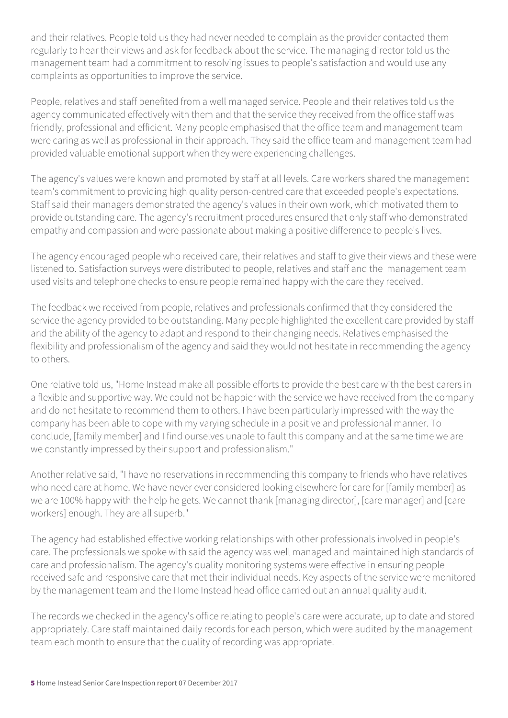and their relatives. People told us they had never needed to complain as the provider contacted them regularly to hear their views and ask for feedback about the service. The managing director told us the management team had a commitment to resolving issues to people's satisfaction and would use any complaints as opportunities to improve the service.

People, relatives and staff benefited from a well managed service. People and their relatives told us the agency communicated effectively with them and that the service they received from the office staff was friendly, professional and efficient. Many people emphasised that the office team and management team were caring as well as professional in their approach. They said the office team and management team had provided valuable emotional support when they were experiencing challenges.

The agency's values were known and promoted by staff at all levels. Care workers shared the management team's commitment to providing high quality person-centred care that exceeded people's expectations. Staff said their managers demonstrated the agency's values in their own work, which motivated them to provide outstanding care. The agency's recruitment procedures ensured that only staff who demonstrated empathy and compassion and were passionate about making a positive difference to people's lives.

The agency encouraged people who received care, their relatives and staff to give their views and these were listened to. Satisfaction surveys were distributed to people, relatives and staff and the management team used visits and telephone checks to ensure people remained happy with the care they received.

The feedback we received from people, relatives and professionals confirmed that they considered the service the agency provided to be outstanding. Many people highlighted the excellent care provided by staff and the ability of the agency to adapt and respond to their changing needs. Relatives emphasised the flexibility and professionalism of the agency and said they would not hesitate in recommending the agency to others.

One relative told us, "Home Instead make all possible efforts to provide the best care with the best carers in a flexible and supportive way. We could not be happier with the service we have received from the company and do not hesitate to recommend them to others. I have been particularly impressed with the way the company has been able to cope with my varying schedule in a positive and professional manner. To conclude, [family member] and I find ourselves unable to fault this company and at the same time we are we constantly impressed by their support and professionalism."

Another relative said, "I have no reservations in recommending this company to friends who have relatives who need care at home. We have never ever considered looking elsewhere for care for [family member] as we are 100% happy with the help he gets. We cannot thank [managing director], [care manager] and [care workers] enough. They are all superb."

The agency had established effective working relationships with other professionals involved in people's care. The professionals we spoke with said the agency was well managed and maintained high standards of care and professionalism. The agency's quality monitoring systems were effective in ensuring people received safe and responsive care that met their individual needs. Key aspects of the service were monitored by the management team and the Home Instead head office carried out an annual quality audit.

The records we checked in the agency's office relating to people's care were accurate, up to date and stored appropriately. Care staff maintained daily records for each person, which were audited by the management team each month to ensure that the quality of recording was appropriate.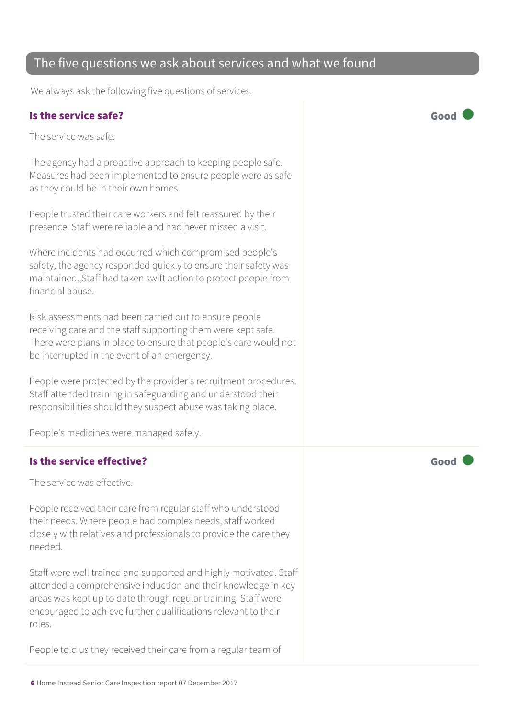#### The five questions we ask about services and what we found

We always ask the following five questions of services.

#### Is the service safe? Good

The service was safe.

The agency had a proactive approach to keeping people safe. Measures had been implemented to ensure people were as safe as they could be in their own homes.

People trusted their care workers and felt reassured by their presence. Staff were reliable and had never missed a visit.

Where incidents had occurred which compromised people's safety, the agency responded quickly to ensure their safety was maintained. Staff had taken swift action to protect people from financial abuse.

Risk assessments had been carried out to ensure people receiving care and the staff supporting them were kept safe. There were plans in place to ensure that people's care would not be interrupted in the event of an emergency.

People were protected by the provider's recruitment procedures. Staff attended training in safeguarding and understood their responsibilities should they suspect abuse was taking place.

People's medicines were managed safely.

#### Is the service effective?  $\Box$  Good

The service was effective.

People received their care from regular staff who understood their needs. Where people had complex needs, staff worked closely with relatives and professionals to provide the care they needed.

Staff were well trained and supported and highly motivated. Staff attended a comprehensive induction and their knowledge in key areas was kept up to date through regular training. Staff were encouraged to achieve further qualifications relevant to their roles.

People told us they received their care from a regular team of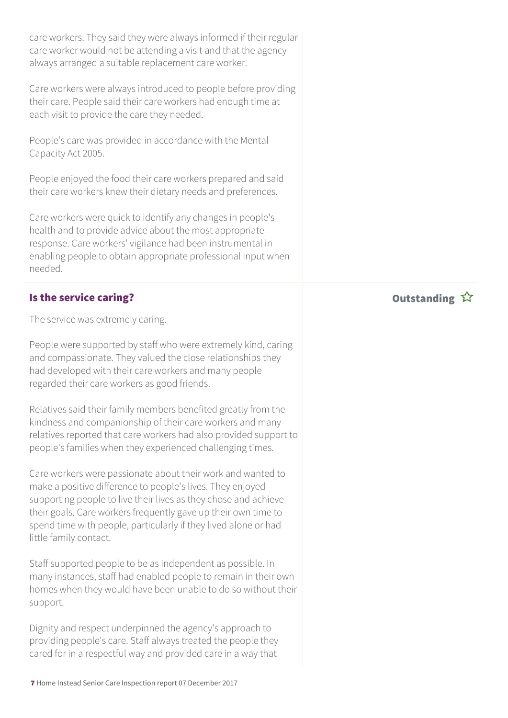care workers. They said they were always informed if their regular care worker would not be attending a visit and that the agency always arranged a suitable replacement care worker.

Care workers were always introduced to people before providing their care. People said their care workers had enough time at each visit to provide the care they needed.

People's care was provided in accordance with the Mental Capacity Act 2005.

People enjoyed the food their care workers prepared and said their care workers knew their dietary needs and preferences.

Care workers were quick to identify any changes in people's health and to provide advice about the most appropriate response. Care workers' vigilance had been instrumental in enabling people to obtain appropriate professional input when needed.

#### Is the service caring? The service caring  $\hat{X}$

The service was extremely caring.

People were supported by staff who were extremely kind, caring and compassionate. They valued the close relationships they had developed with their care workers and many people regarded their care workers as good friends.

Relatives said their family members benefited greatly from the kindness and companionship of their care workers and many relatives reported that care workers had also provided support to people's families when they experienced challenging times.

Care workers were passionate about their work and wanted to make a positive difference to people's lives. They enjoyed supporting people to live their lives as they chose and achieve their goals. Care workers frequently gave up their own time to spend time with people, particularly if they lived alone or had little family contact.

Staff supported people to be as independent as possible. In many instances, staff had enabled people to remain in their own homes when they would have been unable to do so without their support.

Dignity and respect underpinned the agency's approach to providing people's care. Staff always treated the people they cared for in a respectful way and provided care in a way that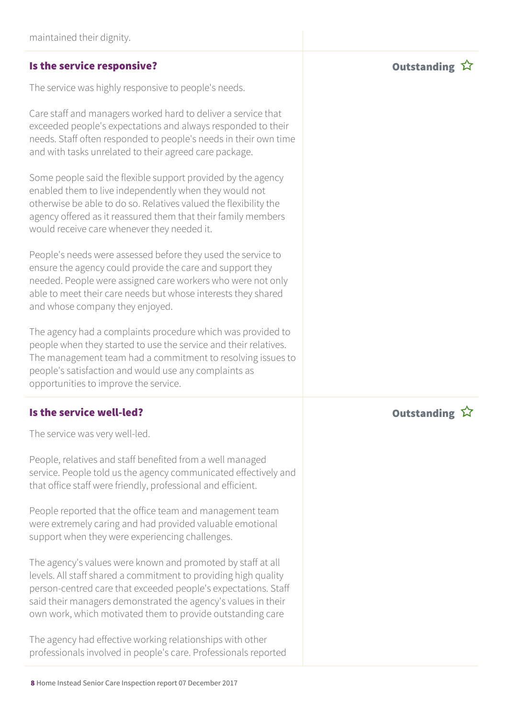#### Is the service responsive? The service responsive?

The service was highly responsive to people's needs.

Care staff and managers worked hard to deliver a service that exceeded people's expectations and always responded to their needs. Staff often responded to people's needs in their own time and with tasks unrelated to their agreed care package.

Some people said the flexible support provided by the agency enabled them to live independently when they would not otherwise be able to do so. Relatives valued the flexibility the agency offered as it reassured them that their family members would receive care whenever they needed it.

People's needs were assessed before they used the service to ensure the agency could provide the care and support they needed. People were assigned care workers who were not only able to meet their care needs but whose interests they shared and whose company they enjoyed.

The agency had a complaints procedure which was provided to people when they started to use the service and their relatives. The management team had a commitment to resolving issues to people's satisfaction and would use any complaints as opportunities to improve the service.

#### Is the service well-led? Outstanding

The service was very well-led.

People, relatives and staff benefited from a well managed service. People told us the agency communicated effectively and that office staff were friendly, professional and efficient.

People reported that the office team and management team were extremely caring and had provided valuable emotional support when they were experiencing challenges.

The agency's values were known and promoted by staff at all levels. All staff shared a commitment to providing high quality person-centred care that exceeded people's expectations. Staff said their managers demonstrated the agency's values in their own work, which motivated them to provide outstanding care

The agency had effective working relationships with other professionals involved in people's care. Professionals reported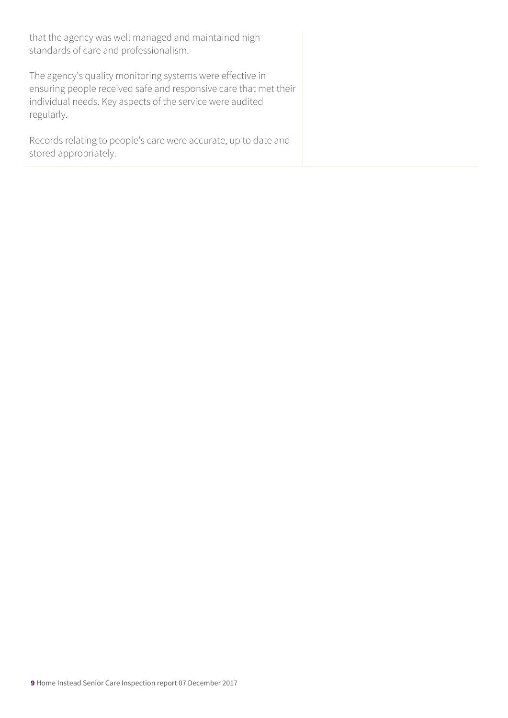that the agency was well managed and maintained high standards of care and professionalism.

The agency's quality monitoring systems were effective in ensuring people received safe and responsive care that met their individual needs. Key aspects of the service were audited regularly.

Records relating to people's care were accurate, up to date and stored appropriately.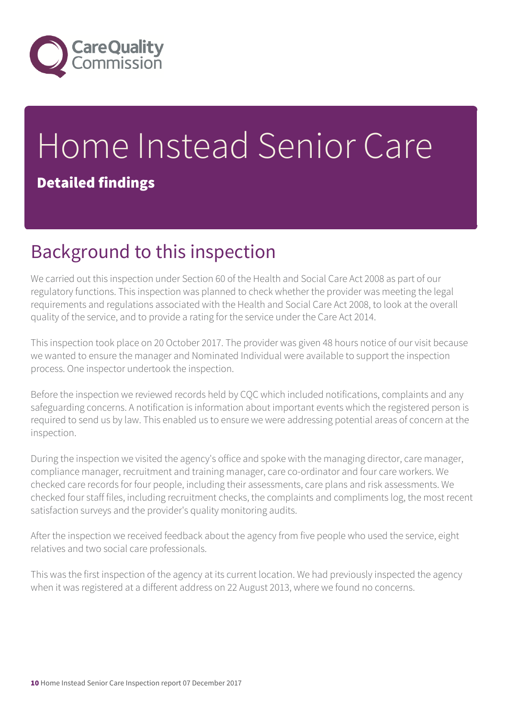

# Home Instead Senior Care Detailed findings

# Background to this inspection

We carried out this inspection under Section 60 of the Health and Social Care Act 2008 as part of our regulatory functions. This inspection was planned to check whether the provider was meeting the legal requirements and regulations associated with the Health and Social Care Act 2008, to look at the overall quality of the service, and to provide a rating for the service under the Care Act 2014.

This inspection took place on 20 October 2017. The provider was given 48 hours notice of our visit because we wanted to ensure the manager and Nominated Individual were available to support the inspection process. One inspector undertook the inspection.

Before the inspection we reviewed records held by CQC which included notifications, complaints and any safeguarding concerns. A notification is information about important events which the registered person is required to send us by law. This enabled us to ensure we were addressing potential areas of concern at the inspection.

During the inspection we visited the agency's office and spoke with the managing director, care manager, compliance manager, recruitment and training manager, care co-ordinator and four care workers. We checked care records for four people, including their assessments, care plans and risk assessments. We checked four staff files, including recruitment checks, the complaints and compliments log, the most recent satisfaction surveys and the provider's quality monitoring audits.

After the inspection we received feedback about the agency from five people who used the service, eight relatives and two social care professionals.

This was the first inspection of the agency at its current location. We had previously inspected the agency when it was registered at a different address on 22 August 2013, where we found no concerns.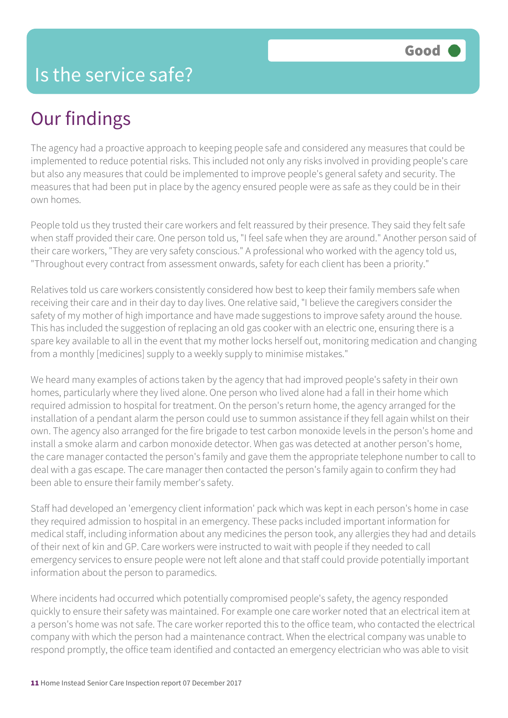# Our findings

The agency had a proactive approach to keeping people safe and considered any measures that could be implemented to reduce potential risks. This included not only any risks involved in providing people's care but also any measures that could be implemented to improve people's general safety and security. The measures that had been put in place by the agency ensured people were as safe as they could be in their own homes.

People told us they trusted their care workers and felt reassured by their presence. They said they felt safe when staff provided their care. One person told us, "I feel safe when they are around." Another person said of their care workers, "They are very safety conscious." A professional who worked with the agency told us, "Throughout every contract from assessment onwards, safety for each client has been a priority."

Relatives told us care workers consistently considered how best to keep their family members safe when receiving their care and in their day to day lives. One relative said, "I believe the caregivers consider the safety of my mother of high importance and have made suggestions to improve safety around the house. This has included the suggestion of replacing an old gas cooker with an electric one, ensuring there is a spare key available to all in the event that my mother locks herself out, monitoring medication and changing from a monthly [medicines] supply to a weekly supply to minimise mistakes."

We heard many examples of actions taken by the agency that had improved people's safety in their own homes, particularly where they lived alone. One person who lived alone had a fall in their home which required admission to hospital for treatment. On the person's return home, the agency arranged for the installation of a pendant alarm the person could use to summon assistance if they fell again whilst on their own. The agency also arranged for the fire brigade to test carbon monoxide levels in the person's home and install a smoke alarm and carbon monoxide detector. When gas was detected at another person's home, the care manager contacted the person's family and gave them the appropriate telephone number to call to deal with a gas escape. The care manager then contacted the person's family again to confirm they had been able to ensure their family member's safety.

Staff had developed an 'emergency client information' pack which was kept in each person's home in case they required admission to hospital in an emergency. These packs included important information for medical staff, including information about any medicines the person took, any allergies they had and details of their next of kin and GP. Care workers were instructed to wait with people if they needed to call emergency services to ensure people were not left alone and that staff could provide potentially important information about the person to paramedics.

Where incidents had occurred which potentially compromised people's safety, the agency responded quickly to ensure their safety was maintained. For example one care worker noted that an electrical item at a person's home was not safe. The care worker reported this to the office team, who contacted the electrical company with which the person had a maintenance contract. When the electrical company was unable to respond promptly, the office team identified and contacted an emergency electrician who was able to visit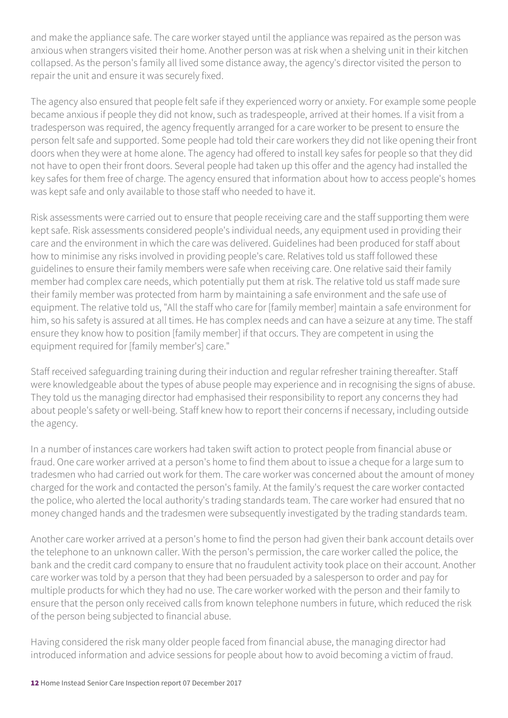and make the appliance safe. The care worker stayed until the appliance was repaired as the person was anxious when strangers visited their home. Another person was at risk when a shelving unit in their kitchen collapsed. As the person's family all lived some distance away, the agency's director visited the person to repair the unit and ensure it was securely fixed.

The agency also ensured that people felt safe if they experienced worry or anxiety. For example some people became anxious if people they did not know, such as tradespeople, arrived at their homes. If a visit from a tradesperson was required, the agency frequently arranged for a care worker to be present to ensure the person felt safe and supported. Some people had told their care workers they did not like opening their front doors when they were at home alone. The agency had offered to install key safes for people so that they did not have to open their front doors. Several people had taken up this offer and the agency had installed the key safes for them free of charge. The agency ensured that information about how to access people's homes was kept safe and only available to those staff who needed to have it.

Risk assessments were carried out to ensure that people receiving care and the staff supporting them were kept safe. Risk assessments considered people's individual needs, any equipment used in providing their care and the environment in which the care was delivered. Guidelines had been produced for staff about how to minimise any risks involved in providing people's care. Relatives told us staff followed these guidelines to ensure their family members were safe when receiving care. One relative said their family member had complex care needs, which potentially put them at risk. The relative told us staff made sure their family member was protected from harm by maintaining a safe environment and the safe use of equipment. The relative told us, "All the staff who care for [family member] maintain a safe environment for him, so his safety is assured at all times. He has complex needs and can have a seizure at any time. The staff ensure they know how to position [family member] if that occurs. They are competent in using the equipment required for [family member's] care."

Staff received safeguarding training during their induction and regular refresher training thereafter. Staff were knowledgeable about the types of abuse people may experience and in recognising the signs of abuse. They told us the managing director had emphasised their responsibility to report any concerns they had about people's safety or well-being. Staff knew how to report their concerns if necessary, including outside the agency.

In a number of instances care workers had taken swift action to protect people from financial abuse or fraud. One care worker arrived at a person's home to find them about to issue a cheque for a large sum to tradesmen who had carried out work for them. The care worker was concerned about the amount of money charged for the work and contacted the person's family. At the family's request the care worker contacted the police, who alerted the local authority's trading standards team. The care worker had ensured that no money changed hands and the tradesmen were subsequently investigated by the trading standards team.

Another care worker arrived at a person's home to find the person had given their bank account details over the telephone to an unknown caller. With the person's permission, the care worker called the police, the bank and the credit card company to ensure that no fraudulent activity took place on their account. Another care worker was told by a person that they had been persuaded by a salesperson to order and pay for multiple products for which they had no use. The care worker worked with the person and their family to ensure that the person only received calls from known telephone numbers in future, which reduced the risk of the person being subjected to financial abuse.

Having considered the risk many older people faced from financial abuse, the managing director had introduced information and advice sessions for people about how to avoid becoming a victim of fraud.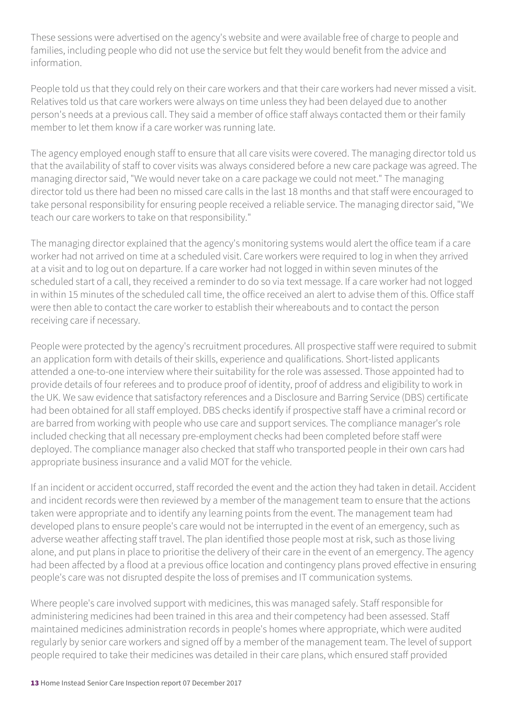These sessions were advertised on the agency's website and were available free of charge to people and families, including people who did not use the service but felt they would benefit from the advice and information.

People told us that they could rely on their care workers and that their care workers had never missed a visit. Relatives told us that care workers were always on time unless they had been delayed due to another person's needs at a previous call. They said a member of office staff always contacted them or their family member to let them know if a care worker was running late.

The agency employed enough staff to ensure that all care visits were covered. The managing director told us that the availability of staff to cover visits was always considered before a new care package was agreed. The managing director said, "We would never take on a care package we could not meet." The managing director told us there had been no missed care calls in the last 18 months and that staff were encouraged to take personal responsibility for ensuring people received a reliable service. The managing director said, "We teach our care workers to take on that responsibility."

The managing director explained that the agency's monitoring systems would alert the office team if a care worker had not arrived on time at a scheduled visit. Care workers were required to log in when they arrived at a visit and to log out on departure. If a care worker had not logged in within seven minutes of the scheduled start of a call, they received a reminder to do so via text message. If a care worker had not logged in within 15 minutes of the scheduled call time, the office received an alert to advise them of this. Office staff were then able to contact the care worker to establish their whereabouts and to contact the person receiving care if necessary.

People were protected by the agency's recruitment procedures. All prospective staff were required to submit an application form with details of their skills, experience and qualifications. Short-listed applicants attended a one-to-one interview where their suitability for the role was assessed. Those appointed had to provide details of four referees and to produce proof of identity, proof of address and eligibility to work in the UK. We saw evidence that satisfactory references and a Disclosure and Barring Service (DBS) certificate had been obtained for all staff employed. DBS checks identify if prospective staff have a criminal record or are barred from working with people who use care and support services. The compliance manager's role included checking that all necessary pre-employment checks had been completed before staff were deployed. The compliance manager also checked that staff who transported people in their own cars had appropriate business insurance and a valid MOT for the vehicle.

If an incident or accident occurred, staff recorded the event and the action they had taken in detail. Accident and incident records were then reviewed by a member of the management team to ensure that the actions taken were appropriate and to identify any learning points from the event. The management team had developed plans to ensure people's care would not be interrupted in the event of an emergency, such as adverse weather affecting staff travel. The plan identified those people most at risk, such as those living alone, and put plans in place to prioritise the delivery of their care in the event of an emergency. The agency had been affected by a flood at a previous office location and contingency plans proved effective in ensuring people's care was not disrupted despite the loss of premises and IT communication systems.

Where people's care involved support with medicines, this was managed safely. Staff responsible for administering medicines had been trained in this area and their competency had been assessed. Staff maintained medicines administration records in people's homes where appropriate, which were audited regularly by senior care workers and signed off by a member of the management team. The level of support people required to take their medicines was detailed in their care plans, which ensured staff provided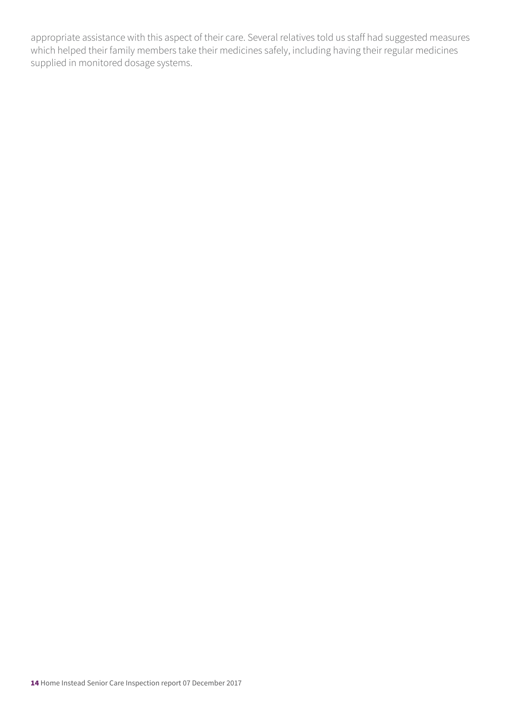appropriate assistance with this aspect of their care. Several relatives told us staff had suggested measures which helped their family members take their medicines safely, including having their regular medicines supplied in monitored dosage systems.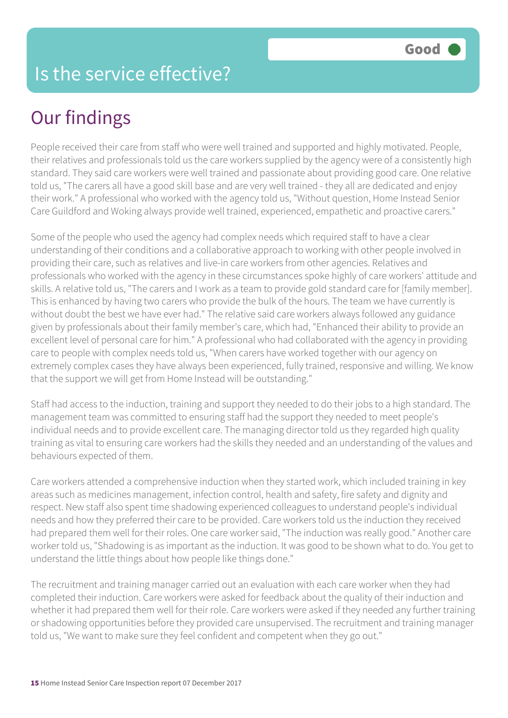### Is the service effective?

# Our findings

People received their care from staff who were well trained and supported and highly motivated. People, their relatives and professionals told us the care workers supplied by the agency were of a consistently high standard. They said care workers were well trained and passionate about providing good care. One relative told us, "The carers all have a good skill base and are very well trained - they all are dedicated and enjoy their work." A professional who worked with the agency told us, "Without question, Home Instead Senior Care Guildford and Woking always provide well trained, experienced, empathetic and proactive carers."

Some of the people who used the agency had complex needs which required staff to have a clear understanding of their conditions and a collaborative approach to working with other people involved in providing their care, such as relatives and live-in care workers from other agencies. Relatives and professionals who worked with the agency in these circumstances spoke highly of care workers' attitude and skills. A relative told us, "The carers and I work as a team to provide gold standard care for [family member]. This is enhanced by having two carers who provide the bulk of the hours. The team we have currently is without doubt the best we have ever had." The relative said care workers always followed any guidance given by professionals about their family member's care, which had, "Enhanced their ability to provide an excellent level of personal care for him." A professional who had collaborated with the agency in providing care to people with complex needs told us, "When carers have worked together with our agency on extremely complex cases they have always been experienced, fully trained, responsive and willing. We know that the support we will get from Home Instead will be outstanding."

Staff had access to the induction, training and support they needed to do their jobs to a high standard. The management team was committed to ensuring staff had the support they needed to meet people's individual needs and to provide excellent care. The managing director told us they regarded high quality training as vital to ensuring care workers had the skills they needed and an understanding of the values and behaviours expected of them.

Care workers attended a comprehensive induction when they started work, which included training in key areas such as medicines management, infection control, health and safety, fire safety and dignity and respect. New staff also spent time shadowing experienced colleagues to understand people's individual needs and how they preferred their care to be provided. Care workers told us the induction they received had prepared them well for their roles. One care worker said, "The induction was really good." Another care worker told us, "Shadowing is as important as the induction. It was good to be shown what to do. You get to understand the little things about how people like things done."

The recruitment and training manager carried out an evaluation with each care worker when they had completed their induction. Care workers were asked for feedback about the quality of their induction and whether it had prepared them well for their role. Care workers were asked if they needed any further training or shadowing opportunities before they provided care unsupervised. The recruitment and training manager told us, "We want to make sure they feel confident and competent when they go out."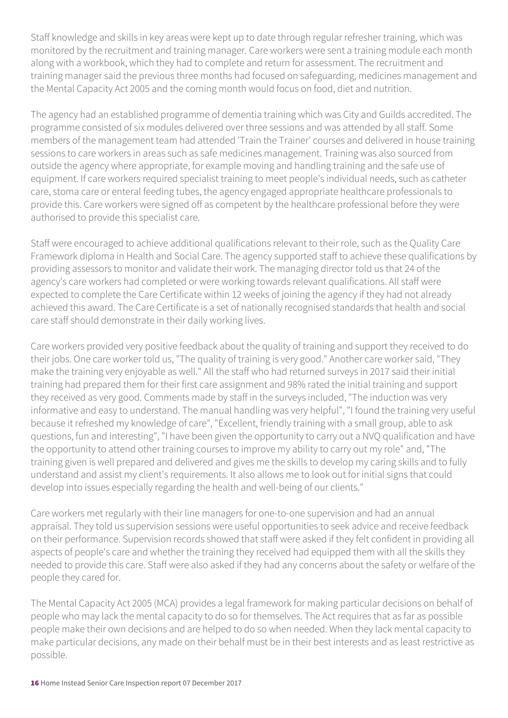Staff knowledge and skills in key areas were kept up to date through regular refresher training, which was monitored by the recruitment and training manager. Care workers were sent a training module each month along with a workbook, which they had to complete and return for assessment. The recruitment and training manager said the previous three months had focused on safeguarding, medicines management and the Mental Capacity Act 2005 and the coming month would focus on food, diet and nutrition.

The agency had an established programme of dementia training which was City and Guilds accredited. The programme consisted of six modules delivered over three sessions and was attended by all staff. Some members of the management team had attended 'Train the Trainer' courses and delivered in house training sessions to care workers in areas such as safe medicines management. Training was also sourced from outside the agency where appropriate, for example moving and handling training and the safe use of equipment. If care workers required specialist training to meet people's individual needs, such as catheter care, stoma care or enteral feeding tubes, the agency engaged appropriate healthcare professionals to provide this. Care workers were signed off as competent by the healthcare professional before they were authorised to provide this specialist care.

Staff were encouraged to achieve additional qualifications relevant to their role, such as the Quality Care Framework diploma in Health and Social Care. The agency supported staff to achieve these qualifications by providing assessors to monitor and validate their work. The managing director told us that 24 of the agency's care workers had completed or were working towards relevant qualifications. All staff were expected to complete the Care Certificate within 12 weeks of joining the agency if they had not already achieved this award. The Care Certificate is a set of nationally recognised standards that health and social care staff should demonstrate in their daily working lives.

Care workers provided very positive feedback about the quality of training and support they received to do their jobs. One care worker told us, "The quality of training is very good." Another care worker said, "They make the training very enjoyable as well." All the staff who had returned surveys in 2017 said their initial training had prepared them for their first care assignment and 98% rated the initial training and support they received as very good. Comments made by staff in the surveys included, "The induction was very informative and easy to understand. The manual handling was very helpful", "I found the training very useful because it refreshed my knowledge of care", "Excellent, friendly training with a small group, able to ask questions, fun and interesting", "I have been given the opportunity to carry out a NVQ qualification and have the opportunity to attend other training courses to improve my ability to carry out my role" and, "The training given is well prepared and delivered and gives me the skills to develop my caring skills and to fully understand and assist my client's requirements. It also allows me to look out for initial signs that could develop into issues especially regarding the health and well-being of our clients."

Care workers met regularly with their line managers for one-to-one supervision and had an annual appraisal. They told us supervision sessions were useful opportunities to seek advice and receive feedback on their performance. Supervision records showed that staff were asked if they felt confident in providing all aspects of people's care and whether the training they received had equipped them with all the skills they needed to provide this care. Staff were also asked if they had any concerns about the safety or welfare of the people they cared for.

The Mental Capacity Act 2005 (MCA) provides a legal framework for making particular decisions on behalf of people who may lack the mental capacity to do so for themselves. The Act requires that as far as possible people make their own decisions and are helped to do so when needed. When they lack mental capacity to make particular decisions, any made on their behalf must be in their best interests and as least restrictive as possible.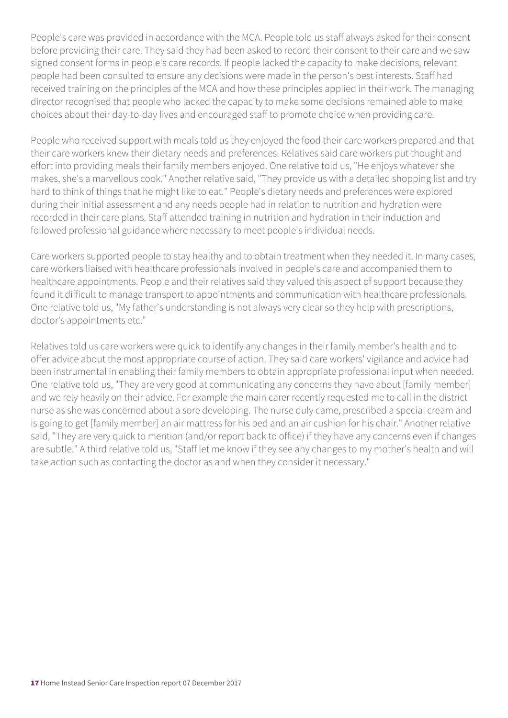People's care was provided in accordance with the MCA. People told us staff always asked for their consent before providing their care. They said they had been asked to record their consent to their care and we saw signed consent forms in people's care records. If people lacked the capacity to make decisions, relevant people had been consulted to ensure any decisions were made in the person's best interests. Staff had received training on the principles of the MCA and how these principles applied in their work. The managing director recognised that people who lacked the capacity to make some decisions remained able to make choices about their day-to-day lives and encouraged staff to promote choice when providing care.

People who received support with meals told us they enjoyed the food their care workers prepared and that their care workers knew their dietary needs and preferences. Relatives said care workers put thought and effort into providing meals their family members enjoyed. One relative told us, "He enjoys whatever she makes, she's a marvellous cook." Another relative said, "They provide us with a detailed shopping list and try hard to think of things that he might like to eat." People's dietary needs and preferences were explored during their initial assessment and any needs people had in relation to nutrition and hydration were recorded in their care plans. Staff attended training in nutrition and hydration in their induction and followed professional guidance where necessary to meet people's individual needs.

Care workers supported people to stay healthy and to obtain treatment when they needed it. In many cases, care workers liaised with healthcare professionals involved in people's care and accompanied them to healthcare appointments. People and their relatives said they valued this aspect of support because they found it difficult to manage transport to appointments and communication with healthcare professionals. One relative told us, "My father's understanding is not always very clear so they help with prescriptions, doctor's appointments etc."

Relatives told us care workers were quick to identify any changes in their family member's health and to offer advice about the most appropriate course of action. They said care workers' vigilance and advice had been instrumental in enabling their family members to obtain appropriate professional input when needed. One relative told us, "They are very good at communicating any concerns they have about [family member] and we rely heavily on their advice. For example the main carer recently requested me to call in the district nurse as she was concerned about a sore developing. The nurse duly came, prescribed a special cream and is going to get [family member] an air mattress for his bed and an air cushion for his chair." Another relative said, "They are very quick to mention (and/or report back to office) if they have any concerns even if changes are subtle." A third relative told us, "Staff let me know if they see any changes to my mother's health and will take action such as contacting the doctor as and when they consider it necessary."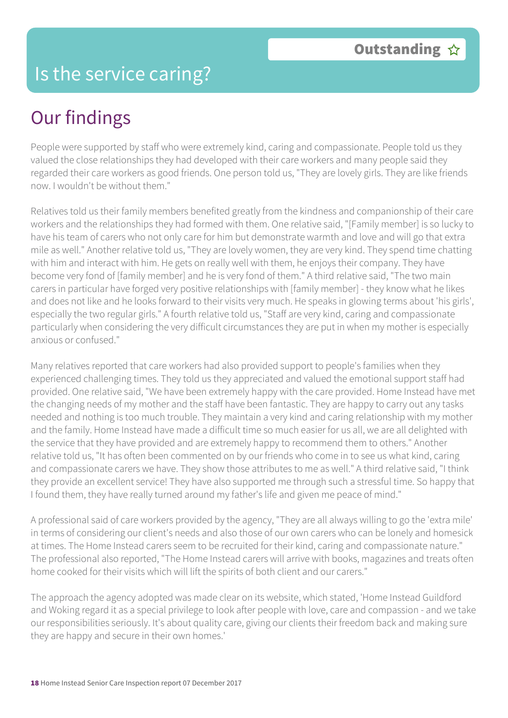### Is the service caring?

# Our findings

People were supported by staff who were extremely kind, caring and compassionate. People told us they valued the close relationships they had developed with their care workers and many people said they regarded their care workers as good friends. One person told us, "They are lovely girls. They are like friends now. I wouldn't be without them."

Relatives told us their family members benefited greatly from the kindness and companionship of their care workers and the relationships they had formed with them. One relative said, "[Family member] is so lucky to have his team of carers who not only care for him but demonstrate warmth and love and will go that extra mile as well." Another relative told us, "They are lovely women, they are very kind. They spend time chatting with him and interact with him. He gets on really well with them, he enjoys their company. They have become very fond of [family member] and he is very fond of them." A third relative said, "The two main carers in particular have forged very positive relationships with [family member] - they know what he likes and does not like and he looks forward to their visits very much. He speaks in glowing terms about 'his girls', especially the two regular girls." A fourth relative told us, "Staff are very kind, caring and compassionate particularly when considering the very difficult circumstances they are put in when my mother is especially anxious or confused."

Many relatives reported that care workers had also provided support to people's families when they experienced challenging times. They told us they appreciated and valued the emotional support staff had provided. One relative said, "We have been extremely happy with the care provided. Home Instead have met the changing needs of my mother and the staff have been fantastic. They are happy to carry out any tasks needed and nothing is too much trouble. They maintain a very kind and caring relationship with my mother and the family. Home Instead have made a difficult time so much easier for us all, we are all delighted with the service that they have provided and are extremely happy to recommend them to others." Another relative told us, "It has often been commented on by our friends who come in to see us what kind, caring and compassionate carers we have. They show those attributes to me as well." A third relative said, "I think they provide an excellent service! They have also supported me through such a stressful time. So happy that I found them, they have really turned around my father's life and given me peace of mind."

A professional said of care workers provided by the agency, "They are all always willing to go the 'extra mile' in terms of considering our client's needs and also those of our own carers who can be lonely and homesick at times. The Home Instead carers seem to be recruited for their kind, caring and compassionate nature." The professional also reported, "The Home Instead carers will arrive with books, magazines and treats often home cooked for their visits which will lift the spirits of both client and our carers."

The approach the agency adopted was made clear on its website, which stated, 'Home Instead Guildford and Woking regard it as a special privilege to look after people with love, care and compassion - and we take our responsibilities seriously. It's about quality care, giving our clients their freedom back and making sure they are happy and secure in their own homes.'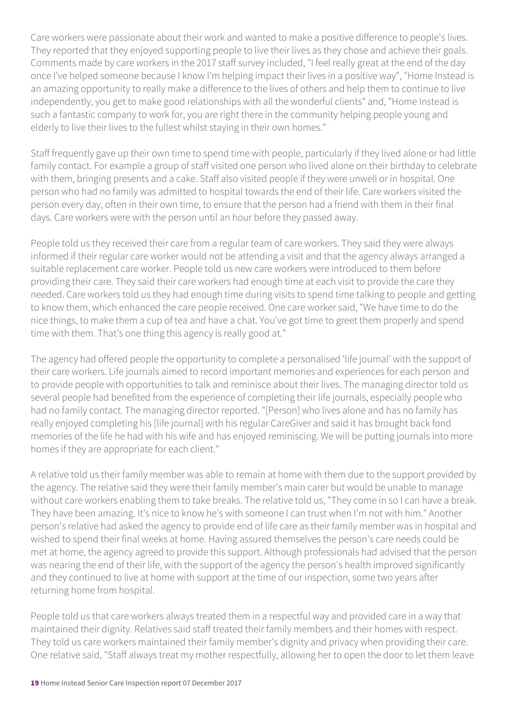Care workers were passionate about their work and wanted to make a positive difference to people's lives. They reported that they enjoyed supporting people to live their lives as they chose and achieve their goals. Comments made by care workers in the 2017 staff survey included, "I feel really great at the end of the day once I've helped someone because I know I'm helping impact their lives in a positive way", "Home Instead is an amazing opportunity to really make a difference to the lives of others and help them to continue to live independently, you get to make good relationships with all the wonderful clients" and, "Home Instead is such a fantastic company to work for, you are right there in the community helping people young and elderly to live their lives to the fullest whilst staying in their own homes."

Staff frequently gave up their own time to spend time with people, particularly if they lived alone or had little family contact. For example a group of staff visited one person who lived alone on their birthday to celebrate with them, bringing presents and a cake. Staff also visited people if they were unwell or in hospital. One person who had no family was admitted to hospital towards the end of their life. Care workers visited the person every day, often in their own time, to ensure that the person had a friend with them in their final days. Care workers were with the person until an hour before they passed away.

People told us they received their care from a regular team of care workers. They said they were always informed if their regular care worker would not be attending a visit and that the agency always arranged a suitable replacement care worker. People told us new care workers were introduced to them before providing their care. They said their care workers had enough time at each visit to provide the care they needed. Care workers told us they had enough time during visits to spend time talking to people and getting to know them, which enhanced the care people received. One care worker said, "We have time to do the nice things, to make them a cup of tea and have a chat. You've got time to greet them properly and spend time with them. That's one thing this agency is really good at."

The agency had offered people the opportunity to complete a personalised 'life journal' with the support of their care workers. Life journals aimed to record important memories and experiences for each person and to provide people with opportunities to talk and reminisce about their lives. The managing director told us several people had benefited from the experience of completing their life journals, especially people who had no family contact. The managing director reported. "[Person] who lives alone and has no family has really enjoyed completing his [life journal] with his regular CareGiver and said it has brought back fond memories of the life he had with his wife and has enjoyed reminiscing. We will be putting journals into more homes if they are appropriate for each client."

A relative told us their family member was able to remain at home with them due to the support provided by the agency. The relative said they were their family member's main carer but would be unable to manage without care workers enabling them to take breaks. The relative told us, "They come in so I can have a break. They have been amazing. It's nice to know he's with someone I can trust when I'm not with him." Another person's relative had asked the agency to provide end of life care as their family member was in hospital and wished to spend their final weeks at home. Having assured themselves the person's care needs could be met at home, the agency agreed to provide this support. Although professionals had advised that the person was nearing the end of their life, with the support of the agency the person's health improved significantly and they continued to live at home with support at the time of our inspection, some two years after returning home from hospital.

People told us that care workers always treated them in a respectful way and provided care in a way that maintained their dignity. Relatives said staff treated their family members and their homes with respect. They told us care workers maintained their family member's dignity and privacy when providing their care. One relative said, "Staff always treat my mother respectfully, allowing her to open the door to let them leave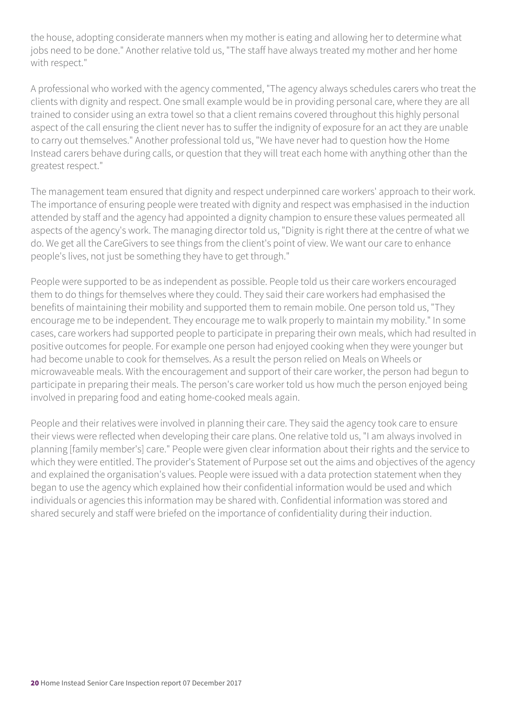the house, adopting considerate manners when my mother is eating and allowing her to determine what jobs need to be done." Another relative told us, "The staff have always treated my mother and her home with respect."

A professional who worked with the agency commented, "The agency always schedules carers who treat the clients with dignity and respect. One small example would be in providing personal care, where they are all trained to consider using an extra towel so that a client remains covered throughout this highly personal aspect of the call ensuring the client never has to suffer the indignity of exposure for an act they are unable to carry out themselves." Another professional told us, "We have never had to question how the Home Instead carers behave during calls, or question that they will treat each home with anything other than the greatest respect."

The management team ensured that dignity and respect underpinned care workers' approach to their work. The importance of ensuring people were treated with dignity and respect was emphasised in the induction attended by staff and the agency had appointed a dignity champion to ensure these values permeated all aspects of the agency's work. The managing director told us, "Dignity is right there at the centre of what we do. We get all the CareGivers to see things from the client's point of view. We want our care to enhance people's lives, not just be something they have to get through."

People were supported to be as independent as possible. People told us their care workers encouraged them to do things for themselves where they could. They said their care workers had emphasised the benefits of maintaining their mobility and supported them to remain mobile. One person told us, "They encourage me to be independent. They encourage me to walk properly to maintain my mobility." In some cases, care workers had supported people to participate in preparing their own meals, which had resulted in positive outcomes for people. For example one person had enjoyed cooking when they were younger but had become unable to cook for themselves. As a result the person relied on Meals on Wheels or microwaveable meals. With the encouragement and support of their care worker, the person had begun to participate in preparing their meals. The person's care worker told us how much the person enjoyed being involved in preparing food and eating home-cooked meals again.

People and their relatives were involved in planning their care. They said the agency took care to ensure their views were reflected when developing their care plans. One relative told us, "I am always involved in planning [family member's] care." People were given clear information about their rights and the service to which they were entitled. The provider's Statement of Purpose set out the aims and objectives of the agency and explained the organisation's values. People were issued with a data protection statement when they began to use the agency which explained how their confidential information would be used and which individuals or agencies this information may be shared with. Confidential information was stored and shared securely and staff were briefed on the importance of confidentiality during their induction.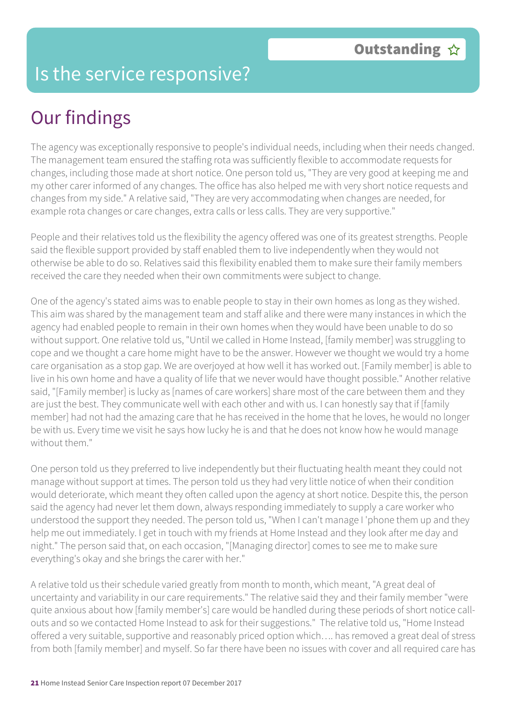### Is the service responsive?

# Our findings

The agency was exceptionally responsive to people's individual needs, including when their needs changed. The management team ensured the staffing rota was sufficiently flexible to accommodate requests for changes, including those made at short notice. One person told us, "They are very good at keeping me and my other carer informed of any changes. The office has also helped me with very short notice requests and changes from my side." A relative said, "They are very accommodating when changes are needed, for example rota changes or care changes, extra calls or less calls. They are very supportive."

People and their relatives told us the flexibility the agency offered was one of its greatest strengths. People said the flexible support provided by staff enabled them to live independently when they would not otherwise be able to do so. Relatives said this flexibility enabled them to make sure their family members received the care they needed when their own commitments were subject to change.

One of the agency's stated aims was to enable people to stay in their own homes as long as they wished. This aim was shared by the management team and staff alike and there were many instances in which the agency had enabled people to remain in their own homes when they would have been unable to do so without support. One relative told us, "Until we called in Home Instead, [family member] was struggling to cope and we thought a care home might have to be the answer. However we thought we would try a home care organisation as a stop gap. We are overjoyed at how well it has worked out. [Family member] is able to live in his own home and have a quality of life that we never would have thought possible." Another relative said, "[Family member] is lucky as [names of care workers] share most of the care between them and they are just the best. They communicate well with each other and with us. I can honestly say that if [family member] had not had the amazing care that he has received in the home that he loves, he would no longer be with us. Every time we visit he says how lucky he is and that he does not know how he would manage without them."

One person told us they preferred to live independently but their fluctuating health meant they could not manage without support at times. The person told us they had very little notice of when their condition would deteriorate, which meant they often called upon the agency at short notice. Despite this, the person said the agency had never let them down, always responding immediately to supply a care worker who understood the support they needed. The person told us, "When I can't manage I 'phone them up and they help me out immediately. I get in touch with my friends at Home Instead and they look after me day and night." The person said that, on each occasion, "[Managing director] comes to see me to make sure everything's okay and she brings the carer with her."

A relative told us their schedule varied greatly from month to month, which meant, "A great deal of uncertainty and variability in our care requirements." The relative said they and their family member "were quite anxious about how [family member's] care would be handled during these periods of short notice callouts and so we contacted Home Instead to ask for their suggestions." The relative told us, "Home Instead offered a very suitable, supportive and reasonably priced option which…. has removed a great deal of stress from both [family member] and myself. So far there have been no issues with cover and all required care has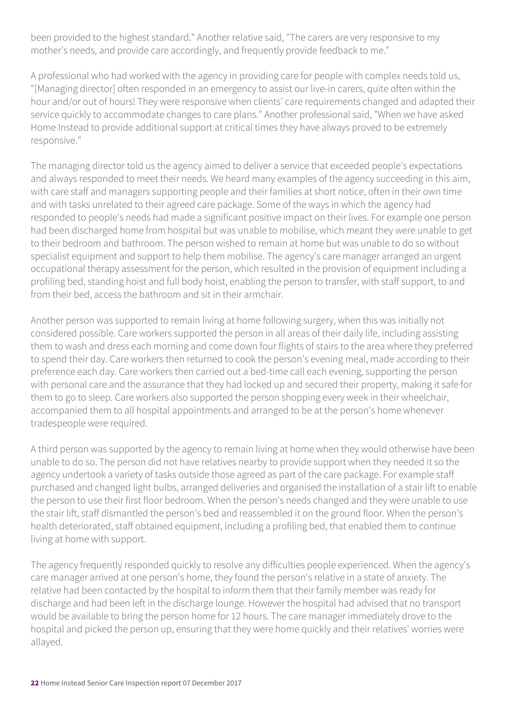been provided to the highest standard." Another relative said, "The carers are very responsive to my mother's needs, and provide care accordingly, and frequently provide feedback to me."

A professional who had worked with the agency in providing care for people with complex needs told us, "[Managing director] often responded in an emergency to assist our live-in carers, quite often within the hour and/or out of hours! They were responsive when clients' care requirements changed and adapted their service quickly to accommodate changes to care plans." Another professional said, "When we have asked Home Instead to provide additional support at critical times they have always proved to be extremely responsive."

The managing director told us the agency aimed to deliver a service that exceeded people's expectations and always responded to meet their needs. We heard many examples of the agency succeeding in this aim, with care staff and managers supporting people and their families at short notice, often in their own time and with tasks unrelated to their agreed care package. Some of the ways in which the agency had responded to people's needs had made a significant positive impact on their lives. For example one person had been discharged home from hospital but was unable to mobilise, which meant they were unable to get to their bedroom and bathroom. The person wished to remain at home but was unable to do so without specialist equipment and support to help them mobilise. The agency's care manager arranged an urgent occupational therapy assessment for the person, which resulted in the provision of equipment including a profiling bed, standing hoist and full body hoist, enabling the person to transfer, with staff support, to and from their bed, access the bathroom and sit in their armchair.

Another person was supported to remain living at home following surgery, when this was initially not considered possible. Care workers supported the person in all areas of their daily life, including assisting them to wash and dress each morning and come down four flights of stairs to the area where they preferred to spend their day. Care workers then returned to cook the person's evening meal, made according to their preference each day. Care workers then carried out a bed-time call each evening, supporting the person with personal care and the assurance that they had locked up and secured their property, making it safe for them to go to sleep. Care workers also supported the person shopping every week in their wheelchair, accompanied them to all hospital appointments and arranged to be at the person's home whenever tradespeople were required.

A third person was supported by the agency to remain living at home when they would otherwise have been unable to do so. The person did not have relatives nearby to provide support when they needed it so the agency undertook a variety of tasks outside those agreed as part of the care package. For example staff purchased and changed light bulbs, arranged deliveries and organised the installation of a stair lift to enable the person to use their first floor bedroom. When the person's needs changed and they were unable to use the stair lift, staff dismantled the person's bed and reassembled it on the ground floor. When the person's health deteriorated, staff obtained equipment, including a profiling bed, that enabled them to continue living at home with support.

The agency frequently responded quickly to resolve any difficulties people experienced. When the agency's care manager arrived at one person's home, they found the person's relative in a state of anxiety. The relative had been contacted by the hospital to inform them that their family member was ready for discharge and had been left in the discharge lounge. However the hospital had advised that no transport would be available to bring the person home for 12 hours. The care manager immediately drove to the hospital and picked the person up, ensuring that they were home quickly and their relatives' worries were allayed.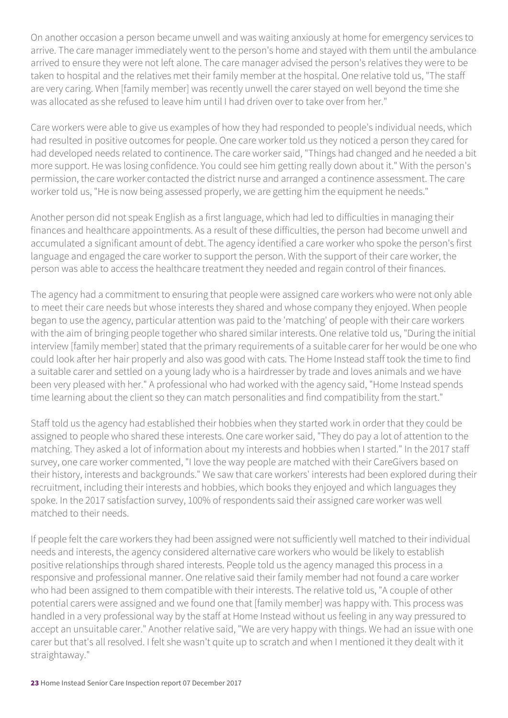On another occasion a person became unwell and was waiting anxiously at home for emergency services to arrive. The care manager immediately went to the person's home and stayed with them until the ambulance arrived to ensure they were not left alone. The care manager advised the person's relatives they were to be taken to hospital and the relatives met their family member at the hospital. One relative told us, "The staff are very caring. When [family member] was recently unwell the carer stayed on well beyond the time she was allocated as she refused to leave him until I had driven over to take over from her."

Care workers were able to give us examples of how they had responded to people's individual needs, which had resulted in positive outcomes for people. One care worker told us they noticed a person they cared for had developed needs related to continence. The care worker said, "Things had changed and he needed a bit more support. He was losing confidence. You could see him getting really down about it." With the person's permission, the care worker contacted the district nurse and arranged a continence assessment. The care worker told us, "He is now being assessed properly, we are getting him the equipment he needs."

Another person did not speak English as a first language, which had led to difficulties in managing their finances and healthcare appointments. As a result of these difficulties, the person had become unwell and accumulated a significant amount of debt. The agency identified a care worker who spoke the person's first language and engaged the care worker to support the person. With the support of their care worker, the person was able to access the healthcare treatment they needed and regain control of their finances.

The agency had a commitment to ensuring that people were assigned care workers who were not only able to meet their care needs but whose interests they shared and whose company they enjoyed. When people began to use the agency, particular attention was paid to the 'matching' of people with their care workers with the aim of bringing people together who shared similar interests. One relative told us, "During the initial interview [family member] stated that the primary requirements of a suitable carer for her would be one who could look after her hair properly and also was good with cats. The Home Instead staff took the time to find a suitable carer and settled on a young lady who is a hairdresser by trade and loves animals and we have been very pleased with her." A professional who had worked with the agency said, "Home Instead spends time learning about the client so they can match personalities and find compatibility from the start."

Staff told us the agency had established their hobbies when they started work in order that they could be assigned to people who shared these interests. One care worker said, "They do pay a lot of attention to the matching. They asked a lot of information about my interests and hobbies when I started." In the 2017 staff survey, one care worker commented, "I love the way people are matched with their CareGivers based on their history, interests and backgrounds." We saw that care workers' interests had been explored during their recruitment, including their interests and hobbies, which books they enjoyed and which languages they spoke. In the 2017 satisfaction survey, 100% of respondents said their assigned care worker was well matched to their needs.

If people felt the care workers they had been assigned were not sufficiently well matched to their individual needs and interests, the agency considered alternative care workers who would be likely to establish positive relationships through shared interests. People told us the agency managed this process in a responsive and professional manner. One relative said their family member had not found a care worker who had been assigned to them compatible with their interests. The relative told us, "A couple of other potential carers were assigned and we found one that [family member] was happy with. This process was handled in a very professional way by the staff at Home Instead without us feeling in any way pressured to accept an unsuitable carer." Another relative said, "We are very happy with things. We had an issue with one carer but that's all resolved. I felt she wasn't quite up to scratch and when I mentioned it they dealt with it straightaway."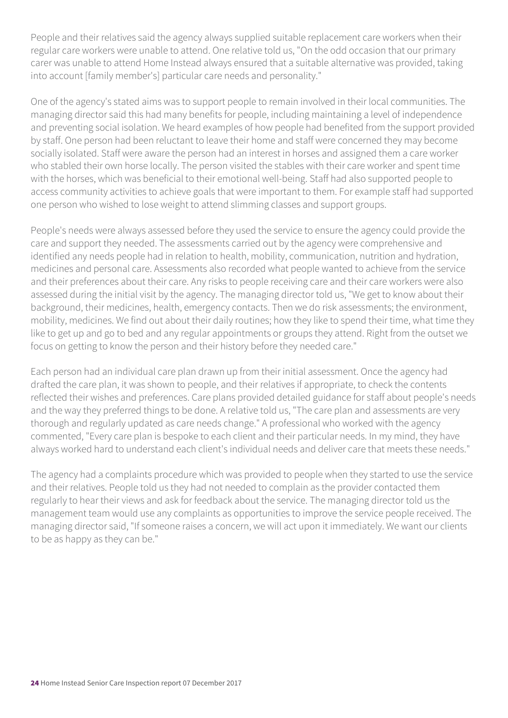People and their relatives said the agency always supplied suitable replacement care workers when their regular care workers were unable to attend. One relative told us, "On the odd occasion that our primary carer was unable to attend Home Instead always ensured that a suitable alternative was provided, taking into account [family member's] particular care needs and personality."

One of the agency's stated aims was to support people to remain involved in their local communities. The managing director said this had many benefits for people, including maintaining a level of independence and preventing social isolation. We heard examples of how people had benefited from the support provided by staff. One person had been reluctant to leave their home and staff were concerned they may become socially isolated. Staff were aware the person had an interest in horses and assigned them a care worker who stabled their own horse locally. The person visited the stables with their care worker and spent time with the horses, which was beneficial to their emotional well-being. Staff had also supported people to access community activities to achieve goals that were important to them. For example staff had supported one person who wished to lose weight to attend slimming classes and support groups.

People's needs were always assessed before they used the service to ensure the agency could provide the care and support they needed. The assessments carried out by the agency were comprehensive and identified any needs people had in relation to health, mobility, communication, nutrition and hydration, medicines and personal care. Assessments also recorded what people wanted to achieve from the service and their preferences about their care. Any risks to people receiving care and their care workers were also assessed during the initial visit by the agency. The managing director told us, "We get to know about their background, their medicines, health, emergency contacts. Then we do risk assessments; the environment, mobility, medicines. We find out about their daily routines; how they like to spend their time, what time they like to get up and go to bed and any regular appointments or groups they attend. Right from the outset we focus on getting to know the person and their history before they needed care."

Each person had an individual care plan drawn up from their initial assessment. Once the agency had drafted the care plan, it was shown to people, and their relatives if appropriate, to check the contents reflected their wishes and preferences. Care plans provided detailed guidance for staff about people's needs and the way they preferred things to be done. A relative told us, "The care plan and assessments are very thorough and regularly updated as care needs change." A professional who worked with the agency commented, "Every care plan is bespoke to each client and their particular needs. In my mind, they have always worked hard to understand each client's individual needs and deliver care that meets these needs."

The agency had a complaints procedure which was provided to people when they started to use the service and their relatives. People told us they had not needed to complain as the provider contacted them regularly to hear their views and ask for feedback about the service. The managing director told us the management team would use any complaints as opportunities to improve the service people received. The managing director said, "If someone raises a concern, we will act upon it immediately. We want our clients to be as happy as they can be."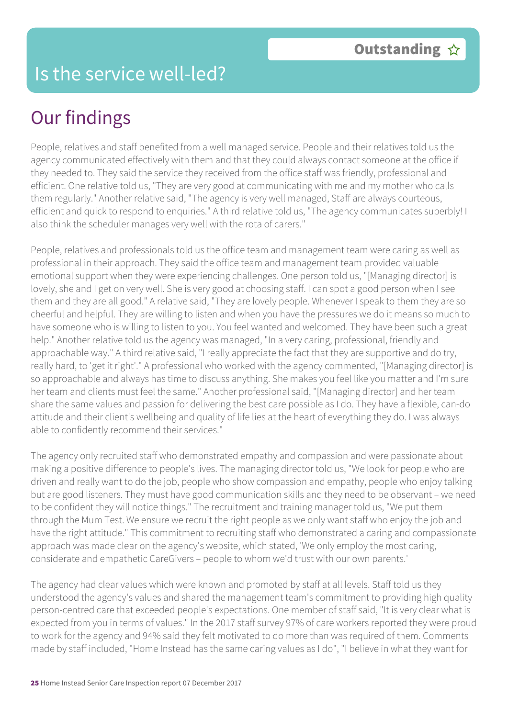### Is the service well-led?

# Our findings

People, relatives and staff benefited from a well managed service. People and their relatives told us the agency communicated effectively with them and that they could always contact someone at the office if they needed to. They said the service they received from the office staff was friendly, professional and efficient. One relative told us, "They are very good at communicating with me and my mother who calls them regularly." Another relative said, "The agency is very well managed, Staff are always courteous, efficient and quick to respond to enquiries." A third relative told us, "The agency communicates superbly! I also think the scheduler manages very well with the rota of carers."

People, relatives and professionals told us the office team and management team were caring as well as professional in their approach. They said the office team and management team provided valuable emotional support when they were experiencing challenges. One person told us, "[Managing director] is lovely, she and I get on very well. She is very good at choosing staff. I can spot a good person when I see them and they are all good." A relative said, "They are lovely people. Whenever I speak to them they are so cheerful and helpful. They are willing to listen and when you have the pressures we do it means so much to have someone who is willing to listen to you. You feel wanted and welcomed. They have been such a great help." Another relative told us the agency was managed, "In a very caring, professional, friendly and approachable way." A third relative said, "I really appreciate the fact that they are supportive and do try, really hard, to 'get it right'." A professional who worked with the agency commented, "[Managing director] is so approachable and always has time to discuss anything. She makes you feel like you matter and I'm sure her team and clients must feel the same." Another professional said, "[Managing director] and her team share the same values and passion for delivering the best care possible as I do. They have a flexible, can-do attitude and their client's wellbeing and quality of life lies at the heart of everything they do. I was always able to confidently recommend their services."

The agency only recruited staff who demonstrated empathy and compassion and were passionate about making a positive difference to people's lives. The managing director told us, "We look for people who are driven and really want to do the job, people who show compassion and empathy, people who enjoy talking but are good listeners. They must have good communication skills and they need to be observant – we need to be confident they will notice things." The recruitment and training manager told us, "We put them through the Mum Test. We ensure we recruit the right people as we only want staff who enjoy the job and have the right attitude." This commitment to recruiting staff who demonstrated a caring and compassionate approach was made clear on the agency's website, which stated, 'We only employ the most caring, considerate and empathetic CareGivers – people to whom we'd trust with our own parents.'

The agency had clear values which were known and promoted by staff at all levels. Staff told us they understood the agency's values and shared the management team's commitment to providing high quality person-centred care that exceeded people's expectations. One member of staff said, "It is very clear what is expected from you in terms of values." In the 2017 staff survey 97% of care workers reported they were proud to work for the agency and 94% said they felt motivated to do more than was required of them. Comments made by staff included, "Home Instead has the same caring values as I do", "I believe in what they want for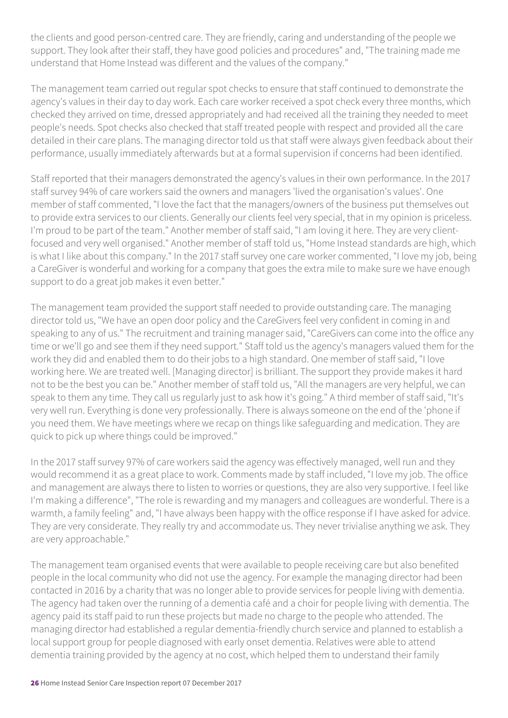the clients and good person-centred care. They are friendly, caring and understanding of the people we support. They look after their staff, they have good policies and procedures" and, "The training made me understand that Home Instead was different and the values of the company."

The management team carried out regular spot checks to ensure that staff continued to demonstrate the agency's values in their day to day work. Each care worker received a spot check every three months, which checked they arrived on time, dressed appropriately and had received all the training they needed to meet people's needs. Spot checks also checked that staff treated people with respect and provided all the care detailed in their care plans. The managing director told us that staff were always given feedback about their performance, usually immediately afterwards but at a formal supervision if concerns had been identified.

Staff reported that their managers demonstrated the agency's values in their own performance. In the 2017 staff survey 94% of care workers said the owners and managers 'lived the organisation's values'. One member of staff commented, "I love the fact that the managers/owners of the business put themselves out to provide extra services to our clients. Generally our clients feel very special, that in my opinion is priceless. I'm proud to be part of the team." Another member of staff said, "I am loving it here. They are very clientfocused and very well organised." Another member of staff told us, "Home Instead standards are high, which is what I like about this company." In the 2017 staff survey one care worker commented, "I love my job, being a CareGiver is wonderful and working for a company that goes the extra mile to make sure we have enough support to do a great job makes it even better."

The management team provided the support staff needed to provide outstanding care. The managing director told us, "We have an open door policy and the CareGivers feel very confident in coming in and speaking to any of us." The recruitment and training manager said, "CareGivers can come into the office any time or we'll go and see them if they need support." Staff told us the agency's managers valued them for the work they did and enabled them to do their jobs to a high standard. One member of staff said, "I love working here. We are treated well. [Managing director] is brilliant. The support they provide makes it hard not to be the best you can be." Another member of staff told us, "All the managers are very helpful, we can speak to them any time. They call us regularly just to ask how it's going." A third member of staff said, "It's very well run. Everything is done very professionally. There is always someone on the end of the 'phone if you need them. We have meetings where we recap on things like safeguarding and medication. They are quick to pick up where things could be improved."

In the 2017 staff survey 97% of care workers said the agency was effectively managed, well run and they would recommend it as a great place to work. Comments made by staff included, "I love my job. The office and management are always there to listen to worries or questions, they are also very supportive. I feel like I'm making a difference", "The role is rewarding and my managers and colleagues are wonderful. There is a warmth, a family feeling" and, "I have always been happy with the office response if I have asked for advice. They are very considerate. They really try and accommodate us. They never trivialise anything we ask. They are very approachable."

The management team organised events that were available to people receiving care but also benefited people in the local community who did not use the agency. For example the managing director had been contacted in 2016 by a charity that was no longer able to provide services for people living with dementia. The agency had taken over the running of a dementia café and a choir for people living with dementia. The agency paid its staff paid to run these projects but made no charge to the people who attended. The managing director had established a regular dementia-friendly church service and planned to establish a local support group for people diagnosed with early onset dementia. Relatives were able to attend dementia training provided by the agency at no cost, which helped them to understand their family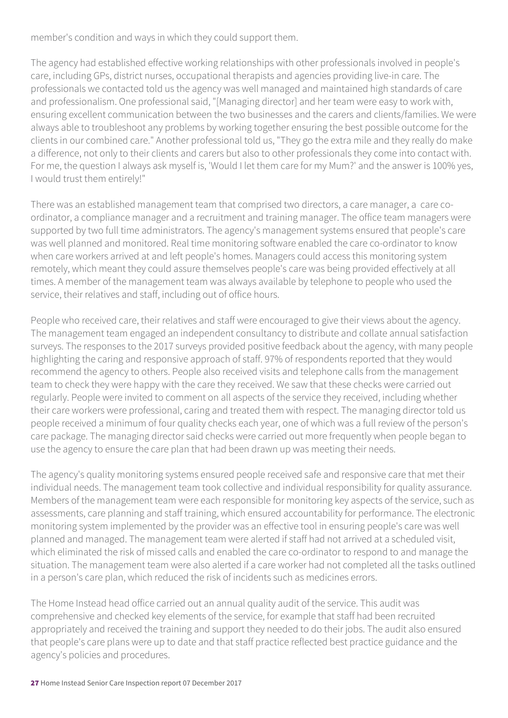member's condition and ways in which they could support them.

The agency had established effective working relationships with other professionals involved in people's care, including GPs, district nurses, occupational therapists and agencies providing live-in care. The professionals we contacted told us the agency was well managed and maintained high standards of care and professionalism. One professional said, "[Managing director] and her team were easy to work with, ensuring excellent communication between the two businesses and the carers and clients/families. We were always able to troubleshoot any problems by working together ensuring the best possible outcome for the clients in our combined care." Another professional told us, "They go the extra mile and they really do make a difference, not only to their clients and carers but also to other professionals they come into contact with. For me, the question I always ask myself is, 'Would I let them care for my Mum?' and the answer is 100% yes, I would trust them entirely!"

There was an established management team that comprised two directors, a care manager, a care coordinator, a compliance manager and a recruitment and training manager. The office team managers were supported by two full time administrators. The agency's management systems ensured that people's care was well planned and monitored. Real time monitoring software enabled the care co-ordinator to know when care workers arrived at and left people's homes. Managers could access this monitoring system remotely, which meant they could assure themselves people's care was being provided effectively at all times. A member of the management team was always available by telephone to people who used the service, their relatives and staff, including out of office hours.

People who received care, their relatives and staff were encouraged to give their views about the agency. The management team engaged an independent consultancy to distribute and collate annual satisfaction surveys. The responses to the 2017 surveys provided positive feedback about the agency, with many people highlighting the caring and responsive approach of staff. 97% of respondents reported that they would recommend the agency to others. People also received visits and telephone calls from the management team to check they were happy with the care they received. We saw that these checks were carried out regularly. People were invited to comment on all aspects of the service they received, including whether their care workers were professional, caring and treated them with respect. The managing director told us people received a minimum of four quality checks each year, one of which was a full review of the person's care package. The managing director said checks were carried out more frequently when people began to use the agency to ensure the care plan that had been drawn up was meeting their needs.

The agency's quality monitoring systems ensured people received safe and responsive care that met their individual needs. The management team took collective and individual responsibility for quality assurance. Members of the management team were each responsible for monitoring key aspects of the service, such as assessments, care planning and staff training, which ensured accountability for performance. The electronic monitoring system implemented by the provider was an effective tool in ensuring people's care was well planned and managed. The management team were alerted if staff had not arrived at a scheduled visit, which eliminated the risk of missed calls and enabled the care co-ordinator to respond to and manage the situation. The management team were also alerted if a care worker had not completed all the tasks outlined in a person's care plan, which reduced the risk of incidents such as medicines errors.

The Home Instead head office carried out an annual quality audit of the service. This audit was comprehensive and checked key elements of the service, for example that staff had been recruited appropriately and received the training and support they needed to do their jobs. The audit also ensured that people's care plans were up to date and that staff practice reflected best practice guidance and the agency's policies and procedures.